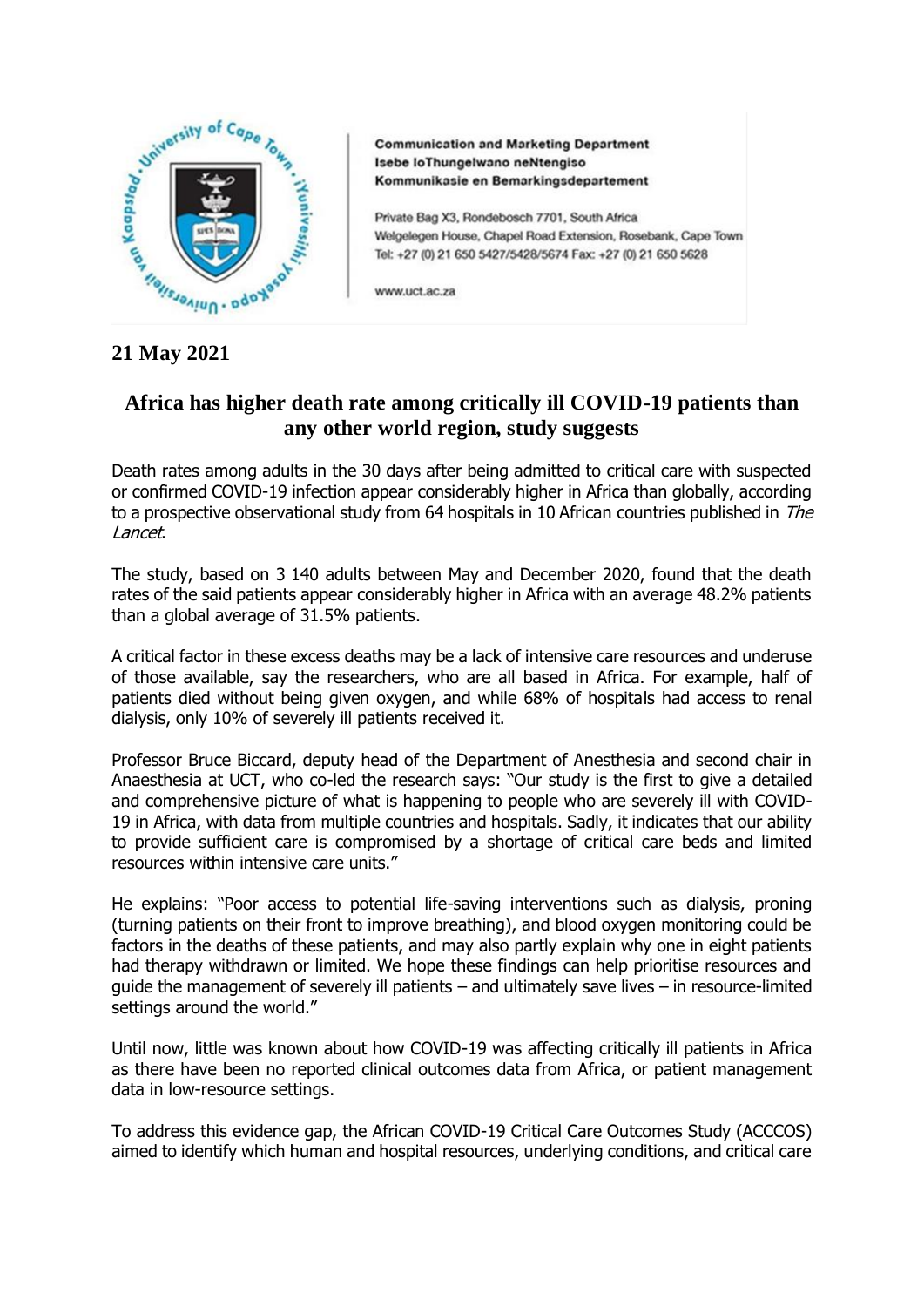

**Communication and Marketing Department** Isebe loThungelwano neNtengiso Kommunikasie en Bemarkingsdepartement

Private Bag X3, Rondebosch 7701, South Africa Welgelegen House, Chapel Road Extension, Rosebank, Cape Town Tel: +27 (0) 21 650 5427/5428/5674 Fax: +27 (0) 21 650 5628

www.uct.ac.za

## **21 May 2021**

## **Africa has higher death rate among critically ill COVID-19 patients than any other world region, study suggests**

Death rates among adults in the 30 days after being admitted to critical care with suspected or confirmed COVID-19 infection appear considerably higher in Africa than globally, according to a prospective observational study from 64 hospitals in 10 African countries published in The Lancet.

The study, based on 3 140 adults between May and December 2020, found that the death rates of the said patients appear considerably higher in Africa with an average 48.2% patients than a global average of 31.5% patients.

A critical factor in these excess deaths may be a lack of intensive care resources and underuse of those available, say the researchers, who are all based in Africa. For example, half of patients died without being given oxygen, and while 68% of hospitals had access to renal dialysis, only 10% of severely ill patients received it.

Professor Bruce Biccard, deputy head of the Department of Anesthesia and second chair in Anaesthesia at UCT, who co-led the research says: "Our study is the first to give a detailed and comprehensive picture of what is happening to people who are severely ill with COVID-19 in Africa, with data from multiple countries and hospitals. Sadly, it indicates that our ability to provide sufficient care is compromised by a shortage of critical care beds and limited resources within intensive care units."

He explains: "Poor access to potential life-saving interventions such as dialysis, proning (turning patients on their front to improve breathing), and blood oxygen monitoring could be factors in the deaths of these patients, and may also partly explain why one in eight patients had therapy withdrawn or limited. We hope these findings can help prioritise resources and guide the management of severely ill patients – and ultimately save lives – in resource-limited settings around the world."

Until now, little was known about how COVID-19 was affecting critically ill patients in Africa as there have been no reported clinical outcomes data from Africa, or patient management data in low-resource settings.

To address this evidence gap, the African COVID-19 Critical Care Outcomes Study (ACCCOS) aimed to identify which human and hospital resources, underlying conditions, and critical care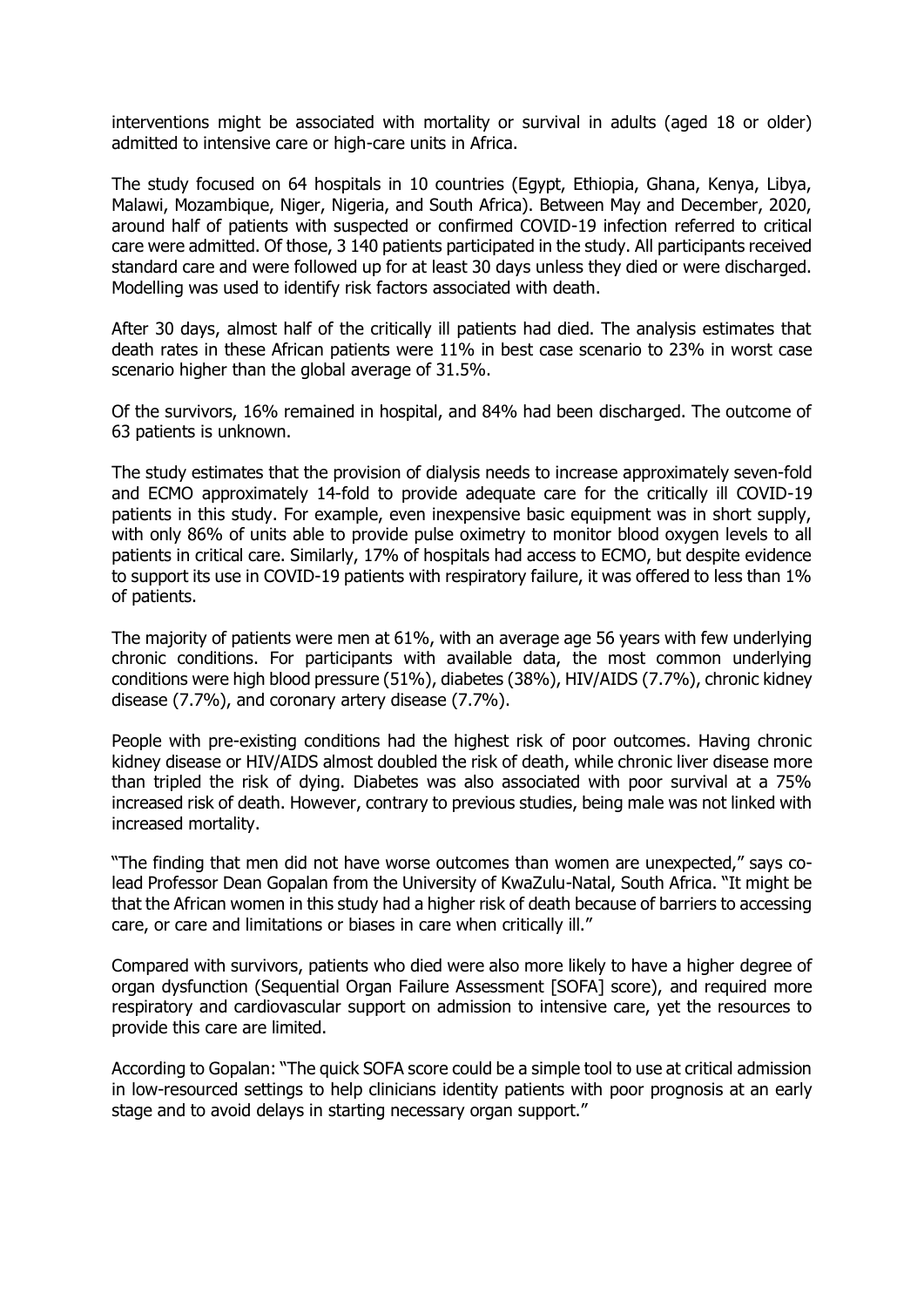interventions might be associated with mortality or survival in adults (aged 18 or older) admitted to intensive care or high-care units in Africa.

The study focused on 64 hospitals in 10 countries (Egypt, Ethiopia, Ghana, Kenya, Libya, Malawi, Mozambique, Niger, Nigeria, and South Africa). Between May and December, 2020, around half of patients with suspected or confirmed COVID-19 infection referred to critical care were admitted. Of those, 3 140 patients participated in the study. All participants received standard care and were followed up for at least 30 days unless they died or were discharged. Modelling was used to identify risk factors associated with death.

After 30 days, almost half of the critically ill patients had died. The analysis estimates that death rates in these African patients were 11% in best case scenario to 23% in worst case scenario higher than the global average of 31.5%.

Of the survivors, 16% remained in hospital, and 84% had been discharged. The outcome of 63 patients is unknown.

The study estimates that the provision of dialysis needs to increase approximately seven-fold and ECMO approximately 14-fold to provide adequate care for the critically ill COVID-19 patients in this study. For example, even inexpensive basic equipment was in short supply, with only 86% of units able to provide pulse oximetry to monitor blood oxygen levels to all patients in critical care. Similarly, 17% of hospitals had access to ECMO, but despite evidence to support its use in COVID-19 patients with respiratory failure, it was offered to less than 1% of patients.

The majority of patients were men at 61%, with an average age 56 years with few underlying chronic conditions. For participants with available data, the most common underlying conditions were high blood pressure (51%), diabetes (38%), HIV/AIDS (7.7%), chronic kidney disease (7.7%), and coronary artery disease (7.7%).

People with pre-existing conditions had the highest risk of poor outcomes. Having chronic kidney disease or HIV/AIDS almost doubled the risk of death, while chronic liver disease more than tripled the risk of dying. Diabetes was also associated with poor survival at a 75% increased risk of death. However, contrary to previous studies, being male was not linked with increased mortality.

"The finding that men did not have worse outcomes than women are unexpected," says colead Professor Dean Gopalan from the University of KwaZulu-Natal, South Africa. "It might be that the African women in this study had a higher risk of death because of barriers to accessing care, or care and limitations or biases in care when critically ill."

Compared with survivors, patients who died were also more likely to have a higher degree of organ dysfunction (Sequential Organ Failure Assessment [SOFA] score), and required more respiratory and cardiovascular support on admission to intensive care, yet the resources to provide this care are limited.

According to Gopalan: "The quick SOFA score could be a simple tool to use at critical admission in low-resourced settings to help clinicians identity patients with poor prognosis at an early stage and to avoid delays in starting necessary organ support."